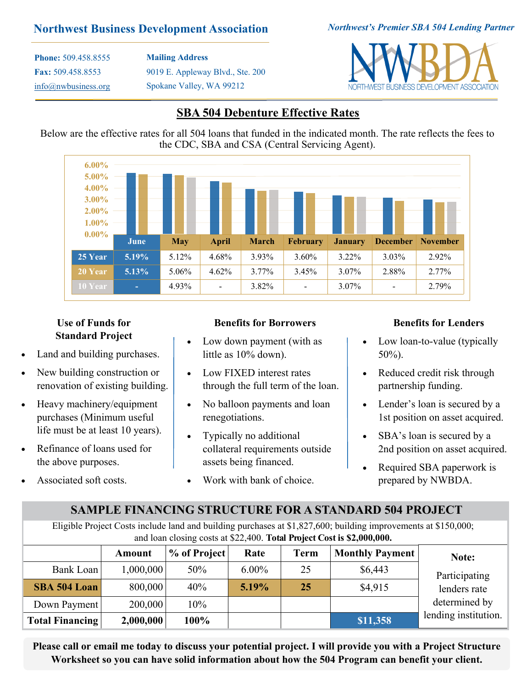### **Northwest Business Development Association**

*Northwest's Premier SBA 504 Lending Partner*

**Phone:** 509.458.8555 **Fax:** 509.458.8553 [info@nwbusiness.org](mailto:erusnak@nwbusiness.org) **Mailing Address** 9019 E. Appleway Blvd., Ste. 200 Spokane Valley, WA 99212



### **SBA 504 Debenture Effective Rates**

Below are the effective rates for all 504 loans that funded in the indicated month. The rate reflects the fees to the CDC, SBA and CSA (Central Servicing Agent).



### **Use of Funds for Standard Project**

- Land and building purchases.
- New building construction or renovation of existing building.
- Heavy machinery/equipment purchases (Minimum useful life must be at least 10 years).
- Refinance of loans used for the above purposes.
- Associated soft costs.

#### **Benefits for Borrowers**

- Low down payment (with as little as 10% down).
- Low FIXED interest rates through the full term of the loan.
- No balloon payments and loan renegotiations.
- Typically no additional collateral requirements outside assets being financed.
- Work with bank of choice.

#### **Benefits for Lenders**

- Low loan-to-value (typically 50%).
- Reduced credit risk through partnership funding.
- Lender's loan is secured by a 1st position on asset acquired.
- SBA's loan is secured by a 2nd position on asset acquired.
- Required SBA paperwork is prepared by NWBDA.

## **SAMPLE FINANCING STRUCTURE FOR A STANDARD 504 PROJECT**

Eligible Project Costs include land and building purchases at \$1,827,600; building improvements at \$150,000; and loan closing costs at \$22,400. **Total Project Cost is \$2,000,000.**

|                        | Amount    | % of Project | Rate     | <b>Term</b> | <b>Monthly Payment</b> | Note:                |
|------------------------|-----------|--------------|----------|-------------|------------------------|----------------------|
| Bank Loan              | 1,000,000 | 50%          | $6.00\%$ | 25          | \$6,443                | Participating        |
| <b>SBA 504 Loan</b>    | 800,000   | 40%          | 5.19%    | 25          | \$4,915                | lenders rate         |
| Down Payment           | 200,000   | 10%          |          |             |                        | determined by        |
| <b>Total Financing</b> | 2,000,000 | 100%         |          |             | \$11,358               | lending institution. |

**Please call or email me today to discuss your potential project. I will provide you with a Project Structure Worksheet so you can have solid information about how the 504 Program can benefit your client.**